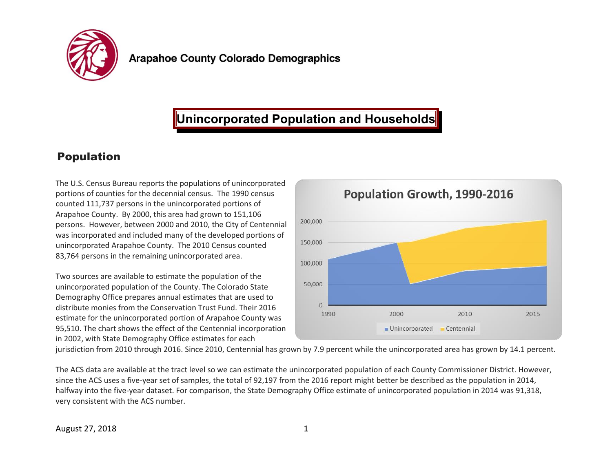

# **Unincorporated Population and Households**

### Population

The U.S. Census Bureau reports the populations of unincorporated portions of counties for the decennial census. The 1990 census counted 111,737 persons in the unincorporated portions of Arapahoe County. By 2000, this area had grown to 151,106 persons. However, between 2000 and 2010, the City of Centennial was incorporated and included many of the developed portions of unincorporated Arapahoe County. The 2010 Census counted 83,764 persons in the remaining unincorporated area.

Two sources are available to estimate the population of the unincorporated population of the County. The Colorado State Demography Office prepares annual estimates that are used to distribute monies from the Conservation Trust Fund. Their 2016 estimate for the unincorporated portion of Arapahoe County was 95,510. The chart shows the effect of the Centennial incorporation in 2002, with State Demography Office estimates for each



jurisdiction from 2010 through 2016. Since 2010, Centennial has grown by 7.9 percent while the unincorporated area has grown by 14.1 percent.

The ACS data are available at the tract level so we can estimate the unincorporated population of each County Commissioner District. However, since the ACS uses a five-year set of samples, the total of 92,197 from the 2016 report might better be described as the population in 2014, halfway into the five-year dataset. For comparison, the State Demography Office estimate of unincorporated population in 2014 was 91,318, very consistent with the ACS number.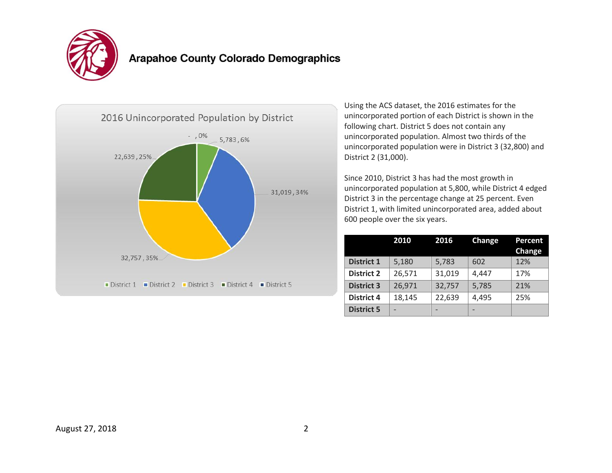

## **Arapahoe County Colorado Demographics**



Using the ACS dataset, the 2016 estimates for the unincorporated portion of each District is shown in the following chart. District 5 does not contain any unincorporated population. Almost two thirds of the unincorporated population were in District 3 (32,800) and District 2 (31,000).

Since 2010, District 3 has had the most growth in unincorporated population at 5,800, while District 4 edged District 3 in the percentage change at 25 percent. Even District 1, with limited unincorporated area, added about 600 people over the six years.

|                   | 2010   | 2016   | Change | <b>Percent</b><br>Change |
|-------------------|--------|--------|--------|--------------------------|
| <b>District 1</b> | 5,180  | 5,783  | 602    | 12%                      |
| <b>District 2</b> | 26,571 | 31,019 | 4,447  | 17%                      |
| <b>District 3</b> | 26,971 | 32,757 | 5,785  | 21%                      |
| <b>District 4</b> | 18,145 | 22,639 | 4,495  | 25%                      |
| <b>District 5</b> |        |        |        |                          |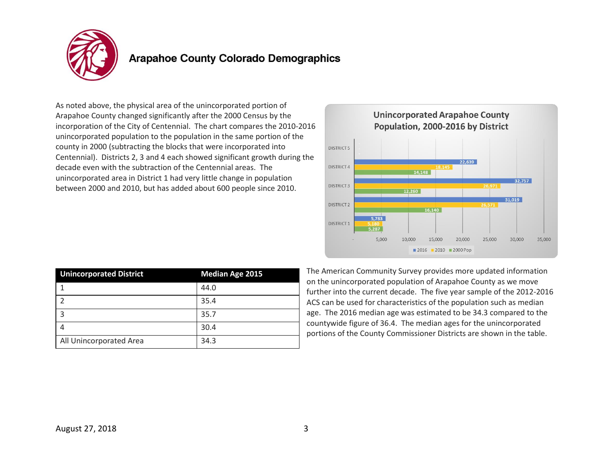

#### **Arapahoe County Colorado Demographics**

As noted above, the physical area of the unincorporated portion of Arapahoe County changed significantly after the 2000 Census by the incorporation of the City of Centennial. The chart compares the 2010-2016 unincorporated population to the population in the same portion of the county in 2000 (subtracting the blocks that were incorporated into Centennial). Districts 2, 3 and 4 each showed significant growth during the decade even with the subtraction of the Centennial areas. The unincorporated area in District 1 had very little change in population between 2000 and 2010, but has added about 600 people since 2010.



| <b>Unincorporated District</b> | <b>Median Age 2015</b> |  |
|--------------------------------|------------------------|--|
|                                | 44.0                   |  |
|                                | 35.4                   |  |
|                                | 35.7                   |  |
|                                | 30.4                   |  |
| All Unincorporated Area        | 34.3                   |  |

The American Community Survey provides more updated information on the unincorporated population of Arapahoe County as we move further into the current decade. The five year sample of the 2012-2016 ACS can be used for characteristics of the population such as median age. The 2016 median age was estimated to be 34.3 compared to the countywide figure of 36.4. The median ages for the unincorporated portions of the County Commissioner Districts are shown in the table.